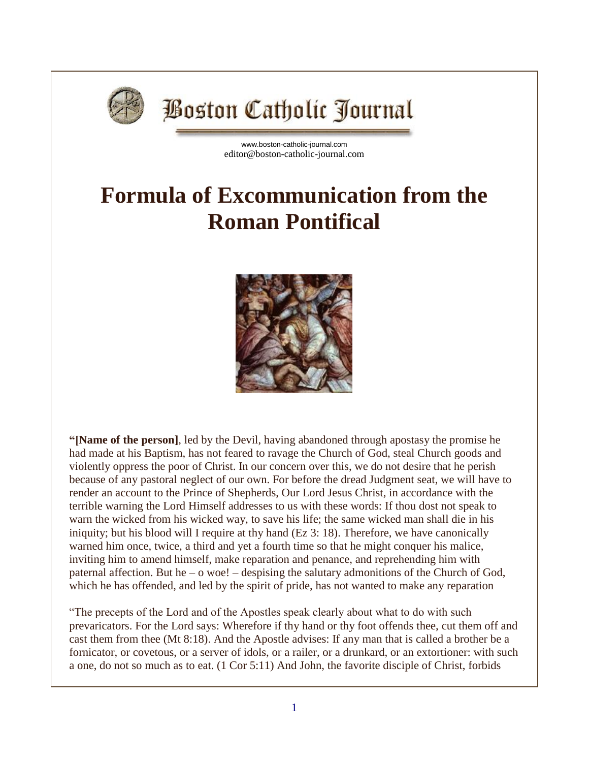

## **Boston Catholic Journal**

[www.boston-catholic-journal.com](http://www.boston-catholic-journal.com/) editor@boston-catholic-journal.com

## **Formula of Excommunication from the Roman Pontifical**



**"[Name of the person]**, led by the Devil, having abandoned through apostasy the promise he had made at his Baptism, has not feared to ravage the Church of God, steal Church goods and violently oppress the poor of Christ. In our concern over this, we do not desire that he perish because of any pastoral neglect of our own. For before the dread Judgment seat, we will have to render an account to the Prince of Shepherds, Our Lord Jesus Christ, in accordance with the terrible warning the Lord Himself addresses to us with these words: If thou dost not speak to warn the wicked from his wicked way, to save his life; the same wicked man shall die in his iniquity; but his blood will I require at thy hand (Ez 3: 18). Therefore, we have canonically warned him once, twice, a third and yet a fourth time so that he might conquer his malice, inviting him to amend himself, make reparation and penance, and reprehending him with paternal affection. But he –  $\alpha$  woe! – despising the salutary admonitions of the Church of God, which he has offended, and led by the spirit of pride, has not wanted to make any reparation

"The precepts of the Lord and of the Apostles speak clearly about what to do with such prevaricators. For the Lord says: Wherefore if thy hand or thy foot offends thee, cut them off and cast them from thee (Mt 8:18). And the Apostle advises: If any man that is called a brother be a fornicator, or covetous, or a server of idols, or a railer, or a drunkard, or an extortioner: with such a one, do not so much as to eat. (1 Cor 5:11) And John, the favorite disciple of Christ, forbids